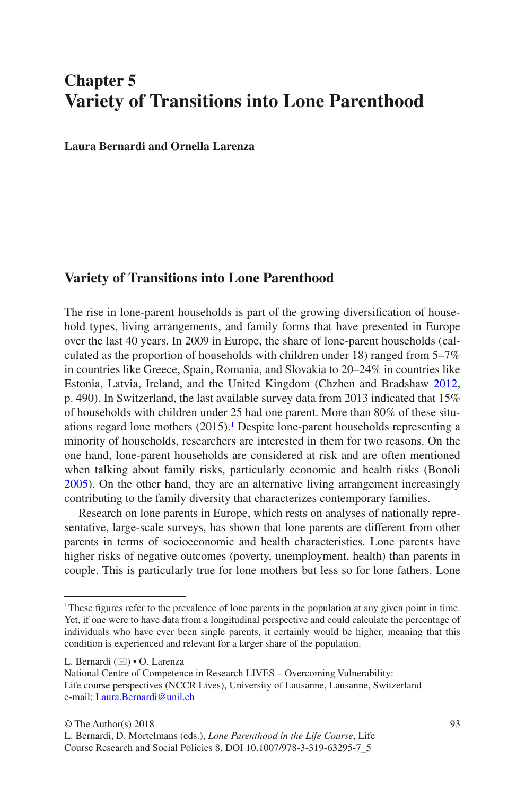# **Chapter 5 Variety of Transitions into Lone Parenthood**

**Laura Bernardi and Ornella Larenza**

# **Variety of Transitions into Lone Parenthood**

The rise in lone-parent households is part of the growing diversification of household types, living arrangements, and family forms that have presented in Europe over the last 40 years. In 2009 in Europe, the share of lone-parent households (calculated as the proportion of households with children under 18) ranged from  $5-7\%$ in countries like Greece, Spain, Romania, and Slovakia to 20–24% in countries like Estonia, Latvia, Ireland, and the United Kingdom (Chzhen and Bradshaw [2012](#page-14-0), p. 490). In Switzerland, the last available survey data from 2013 indicated that 15% of households with children under 25 had one parent. More than 80% of these situations regard lone mothers (2015).<sup>1</sup> Despite lone-parent households representing a minority of households, researchers are interested in them for two reasons. On the one hand, lone-parent households are considered at risk and are often mentioned when talking about family risks, particularly economic and health risks (Bonoli [2005\)](#page-14-1). On the other hand, they are an alternative living arrangement increasingly contributing to the family diversity that characterizes contemporary families.

Research on lone parents in Europe, which rests on analyses of nationally representative, large-scale surveys, has shown that lone parents are different from other parents in terms of socioeconomic and health characteristics. Lone parents have higher risks of negative outcomes (poverty, unemployment, health) than parents in couple. This is particularly true for lone mothers but less so for lone fathers. Lone

<span id="page-0-0"></span><sup>1</sup>These figures refer to the prevalence of lone parents in the population at any given point in time. Yet, if one were to have data from a longitudinal perspective and could calculate the percentage of individuals who have ever been single parents, it certainly would be higher, meaning that this condition is experienced and relevant for a larger share of the population.

L. Bernardi (⊠) • O. Larenza

National Centre of Competence in Research LIVES – Overcoming Vulnerability: Life course perspectives (NCCR Lives), University of Lausanne, Lausanne, Switzerland e-mail: [Laura.Bernardi@unil.ch](mailto:Laura.Bernardi@unil.ch)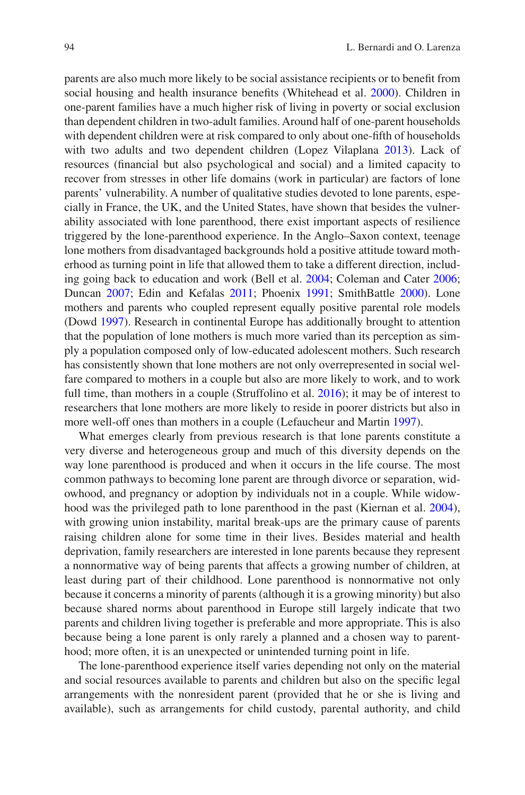parents are also much more likely to be social assistance recipients or to benefit from social housing and health insurance benefits (Whitehead et al. [2000](#page-14-2)). Children in one-parent families have a much higher risk of living in poverty or social exclusion than dependent children in two-adult families. Around half of one-parent households with dependent children were at risk compared to only about one-fifth of households with two adults and two dependent children (Lopez Vilaplana [2013\)](#page-14-3). Lack of resources (financial but also psychological and social) and a limited capacity to recover from stresses in other life domains (work in particular) are factors of lone parents' vulnerability. A number of qualitative studies devoted to lone parents, especially in France, the UK, and the United States, have shown that besides the vulnerability associated with lone parenthood, there exist important aspects of resilience triggered by the lone-parenthood experience. In the Anglo–Saxon context, teenage lone mothers from disadvantaged backgrounds hold a positive attitude toward motherhood as turning point in life that allowed them to take a different direction, including going back to education and work (Bell et al. [2004](#page-14-4); Coleman and Cater [2006;](#page-14-5) Duncan [2007](#page-14-6); Edin and Kefalas [2011](#page-14-7); Phoenix [1991](#page-14-8); SmithBattle [2000\)](#page-14-9). Lone mothers and parents who coupled represent equally positive parental role models (Dowd [1997\)](#page-14-10). Research in continental Europe has additionally brought to attention that the population of lone mothers is much more varied than its perception as simply a population composed only of low-educated adolescent mothers. Such research has consistently shown that lone mothers are not only overrepresented in social welfare compared to mothers in a couple but also are more likely to work, and to work full time, than mothers in a couple (Struffolino et al. [2016\)](#page-14-11); it may be of interest to researchers that lone mothers are more likely to reside in poorer districts but also in more well-off ones than mothers in a couple (Lefaucheur and Martin [1997\)](#page-14-12).

What emerges clearly from previous research is that lone parents constitute a very diverse and heterogeneous group and much of this diversity depends on the way lone parenthood is produced and when it occurs in the life course. The most common pathways to becoming lone parent are through divorce or separation, widowhood, and pregnancy or adoption by individuals not in a couple. While widowhood was the privileged path to lone parenthood in the past (Kiernan et al. [2004\)](#page-14-13), with growing union instability, marital break-ups are the primary cause of parents raising children alone for some time in their lives. Besides material and health deprivation, family researchers are interested in lone parents because they represent a nonnormative way of being parents that affects a growing number of children, at least during part of their childhood. Lone parenthood is nonnormative not only because it concerns a minority of parents (although it is a growing minority) but also because shared norms about parenthood in Europe still largely indicate that two parents and children living together is preferable and more appropriate. This is also because being a lone parent is only rarely a planned and a chosen way to parenthood; more often, it is an unexpected or unintended turning point in life.

The lone-parenthood experience itself varies depending not only on the material and social resources available to parents and children but also on the specific legal arrangements with the nonresident parent (provided that he or she is living and available), such as arrangements for child custody, parental authority, and child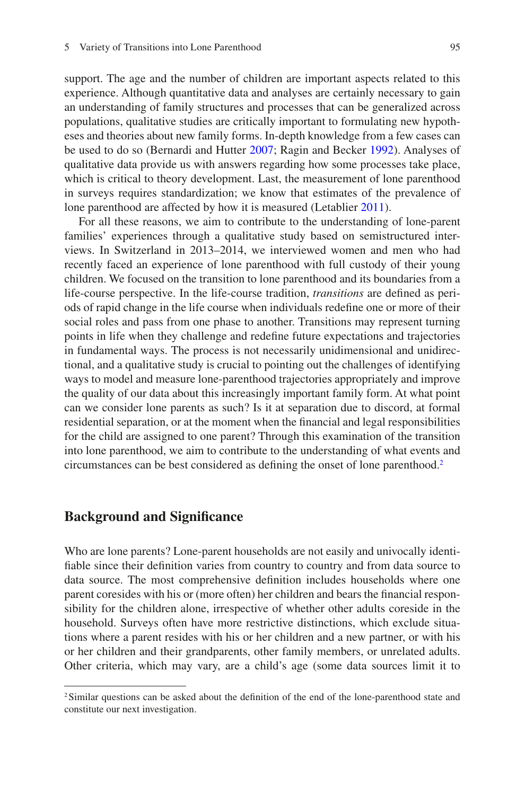support. The age and the number of children are important aspects related to this experience. Although quantitative data and analyses are certainly necessary to gain an understanding of family structures and processes that can be generalized across populations, qualitative studies are critically important to formulating new hypotheses and theories about new family forms. In-depth knowledge from a few cases can be used to do so (Bernardi and Hutter [2007](#page-14-14); Ragin and Becker [1992\)](#page-14-15). Analyses of qualitative data provide us with answers regarding how some processes take place, which is critical to theory development. Last, the measurement of lone parenthood in surveys requires standardization; we know that estimates of the prevalence of lone parenthood are affected by how it is measured (Letablier [2011](#page-14-16)).

For all these reasons, we aim to contribute to the understanding of lone-parent families' experiences through a qualitative study based on semistructured interviews. In Switzerland in 2013–2014, we interviewed women and men who had recently faced an experience of lone parenthood with full custody of their young children. We focused on the transition to lone parenthood and its boundaries from a life-course perspective. In the life-course tradition, *transitions* are defined as periods of rapid change in the life course when individuals redefine one or more of their social roles and pass from one phase to another. Transitions may represent turning points in life when they challenge and redefine future expectations and trajectories in fundamental ways. The process is not necessarily unidimensional and unidirectional, and a qualitative study is crucial to pointing out the challenges of identifying ways to model and measure lone-parenthood trajectories appropriately and improve the quality of our data about this increasingly important family form. At what point can we consider lone parents as such? Is it at separation due to discord, at formal residential separation, or at the moment when the financial and legal responsibilities for the child are assigned to one parent? Through this examination of the transition into lone parenthood, we aim to contribute to the understanding of what events and circumstances can be best considered as defining the onset of lone parenthood[.2](#page-2-0)

#### **Background and Significance**

Who are lone parents? Lone-parent households are not easily and univocally identifiable since their definition varies from country to country and from data source to data source. The most comprehensive definition includes households where one parent coresides with his or (more often) her children and bears the financial responsibility for the children alone, irrespective of whether other adults coreside in the household. Surveys often have more restrictive distinctions, which exclude situations where a parent resides with his or her children and a new partner, or with his or her children and their grandparents, other family members, or unrelated adults. Other criteria, which may vary, are a child's age (some data sources limit it to

<span id="page-2-0"></span><sup>2</sup>Similar questions can be asked about the definition of the end of the lone-parenthood state and constitute our next investigation.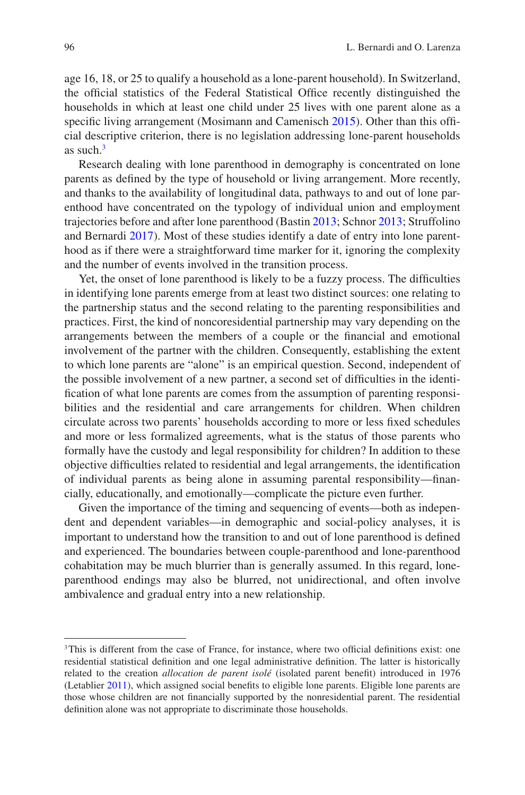age 16, 18, or 25 to qualify a household as a lone-parent household). In Switzerland, the official statistics of the Federal Statistical Office recently distinguished the households in which at least one child under 25 lives with one parent alone as a specific living arrangement (Mosimann and Camenisch [2015\)](#page-14-17). Other than this official descriptive criterion, there is no legislation addressing lone-parent households as such. $3$ 

Research dealing with lone parenthood in demography is concentrated on lone parents as defined by the type of household or living arrangement. More recently, and thanks to the availability of longitudinal data, pathways to and out of lone parenthood have concentrated on the typology of individual union and employment trajectories before and after lone parenthood (Bastin [2013;](#page-14-18) Schnor [2013](#page-14-19); Struffolino and Bernardi [2017\)](#page-14-20). Most of these studies identify a date of entry into lone parenthood as if there were a straightforward time marker for it, ignoring the complexity and the number of events involved in the transition process.

Yet, the onset of lone parenthood is likely to be a fuzzy process. The difficulties in identifying lone parents emerge from at least two distinct sources: one relating to the partnership status and the second relating to the parenting responsibilities and practices. First, the kind of noncoresidential partnership may vary depending on the arrangements between the members of a couple or the financial and emotional involvement of the partner with the children. Consequently, establishing the extent to which lone parents are "alone" is an empirical question. Second, independent of the possible involvement of a new partner, a second set of difficulties in the identification of what lone parents are comes from the assumption of parenting responsibilities and the residential and care arrangements for children. When children circulate across two parents' households according to more or less fixed schedules and more or less formalized agreements, what is the status of those parents who formally have the custody and legal responsibility for children? In addition to these objective difficulties related to residential and legal arrangements, the identification of individual parents as being alone in assuming parental responsibility—financially, educationally, and emotionally—complicate the picture even further.

Given the importance of the timing and sequencing of events—both as independent and dependent variables—in demographic and social-policy analyses, it is important to understand how the transition to and out of lone parenthood is defined and experienced. The boundaries between couple-parenthood and lone-parenthood cohabitation may be much blurrier than is generally assumed. In this regard, loneparenthood endings may also be blurred, not unidirectional, and often involve ambivalence and gradual entry into a new relationship.

<span id="page-3-0"></span><sup>&</sup>lt;sup>3</sup>This is different from the case of France, for instance, where two official definitions exist: one residential statistical definition and one legal administrative definition. The latter is historically related to the creation *allocation de parent isolé* (isolated parent benefit) introduced in 1976 (Letablier [2011\)](#page-14-16), which assigned social benefits to eligible lone parents. Eligible lone parents are those whose children are not financially supported by the nonresidential parent. The residential definition alone was not appropriate to discriminate those households.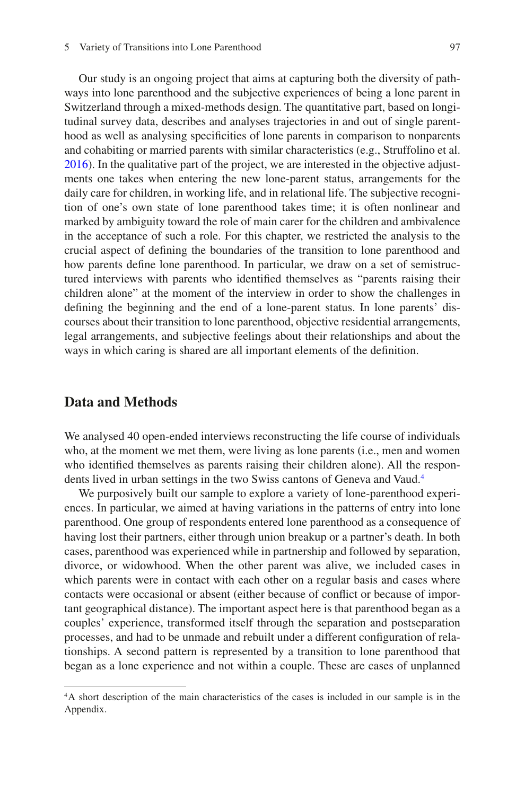Our study is an ongoing project that aims at capturing both the diversity of pathways into lone parenthood and the subjective experiences of being a lone parent in Switzerland through a mixed-methods design. The quantitative part, based on longitudinal survey data, describes and analyses trajectories in and out of single parenthood as well as analysing specificities of lone parents in comparison to nonparents and cohabiting or married parents with similar characteristics (e.g., Struffolino et al. [2016\)](#page-14-11). In the qualitative part of the project, we are interested in the objective adjustments one takes when entering the new lone-parent status, arrangements for the daily care for children, in working life, and in relational life. The subjective recognition of one's own state of lone parenthood takes time; it is often nonlinear and marked by ambiguity toward the role of main carer for the children and ambivalence in the acceptance of such a role. For this chapter, we restricted the analysis to the crucial aspect of defining the boundaries of the transition to lone parenthood and how parents define lone parenthood. In particular, we draw on a set of semistructured interviews with parents who identified themselves as "parents raising their children alone" at the moment of the interview in order to show the challenges in defining the beginning and the end of a lone-parent status. In lone parents' discourses about their transition to lone parenthood, objective residential arrangements, legal arrangements, and subjective feelings about their relationships and about the ways in which caring is shared are all important elements of the definition.

# **Data and Methods**

We analysed 40 open-ended interviews reconstructing the life course of individuals who, at the moment we met them, were living as lone parents (i.e., men and women who identified themselves as parents raising their children alone). All the respondents lived in urban settings in the two Swiss cantons of Geneva and Vaud[.4](#page-4-0)

We purposively built our sample to explore a variety of lone-parenthood experiences. In particular, we aimed at having variations in the patterns of entry into lone parenthood. One group of respondents entered lone parenthood as a consequence of having lost their partners, either through union breakup or a partner's death. In both cases, parenthood was experienced while in partnership and followed by separation, divorce, or widowhood. When the other parent was alive, we included cases in which parents were in contact with each other on a regular basis and cases where contacts were occasional or absent (either because of conflict or because of important geographical distance). The important aspect here is that parenthood began as a couples' experience, transformed itself through the separation and postseparation processes, and had to be unmade and rebuilt under a different configuration of relationships. A second pattern is represented by a transition to lone parenthood that began as a lone experience and not within a couple. These are cases of unplanned

<span id="page-4-0"></span><sup>4</sup>A short description of the main characteristics of the cases is included in our sample is in the Appendix.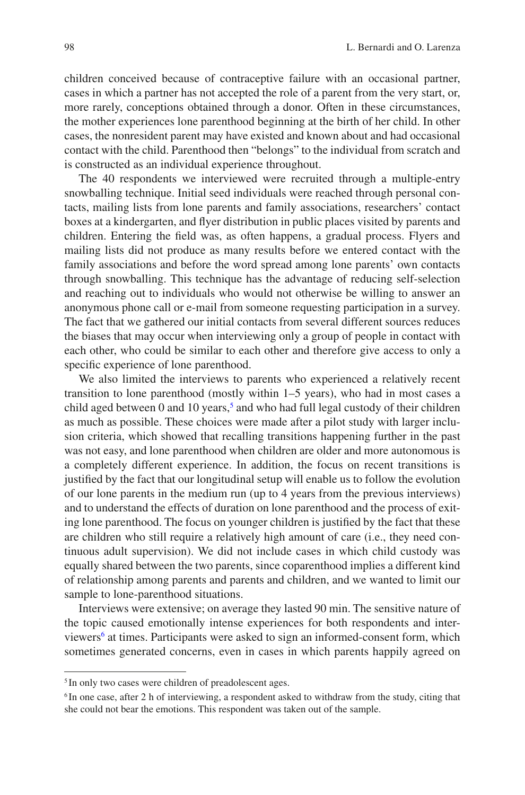children conceived because of contraceptive failure with an occasional partner, cases in which a partner has not accepted the role of a parent from the very start, or, more rarely, conceptions obtained through a donor. Often in these circumstances, the mother experiences lone parenthood beginning at the birth of her child. In other cases, the nonresident parent may have existed and known about and had occasional contact with the child. Parenthood then "belongs" to the individual from scratch and is constructed as an individual experience throughout.

The 40 respondents we interviewed were recruited through a multiple-entry snowballing technique. Initial seed individuals were reached through personal contacts, mailing lists from lone parents and family associations, researchers' contact boxes at a kindergarten, and flyer distribution in public places visited by parents and children. Entering the field was, as often happens, a gradual process. Flyers and mailing lists did not produce as many results before we entered contact with the family associations and before the word spread among lone parents' own contacts through snowballing. This technique has the advantage of reducing self-selection and reaching out to individuals who would not otherwise be willing to answer an anonymous phone call or e-mail from someone requesting participation in a survey. The fact that we gathered our initial contacts from several different sources reduces the biases that may occur when interviewing only a group of people in contact with each other, who could be similar to each other and therefore give access to only a specific experience of lone parenthood.

We also limited the interviews to parents who experienced a relatively recent transition to lone parenthood (mostly within 1–5 years), who had in most cases a child aged between 0 and 10 years,<sup>[5](#page-5-0)</sup> and who had full legal custody of their children as much as possible. These choices were made after a pilot study with larger inclusion criteria, which showed that recalling transitions happening further in the past was not easy, and lone parenthood when children are older and more autonomous is a completely different experience. In addition, the focus on recent transitions is justified by the fact that our longitudinal setup will enable us to follow the evolution of our lone parents in the medium run (up to 4 years from the previous interviews) and to understand the effects of duration on lone parenthood and the process of exiting lone parenthood. The focus on younger children is justified by the fact that these are children who still require a relatively high amount of care (i.e., they need continuous adult supervision). We did not include cases in which child custody was equally shared between the two parents, since coparenthood implies a different kind of relationship among parents and parents and children, and we wanted to limit our sample to lone-parenthood situations.

Interviews were extensive; on average they lasted 90 min. The sensitive nature of the topic caused emotionally intense experiences for both respondents and inter-viewers<sup>[6](#page-5-1)</sup> at times. Participants were asked to sign an informed-consent form, which sometimes generated concerns, even in cases in which parents happily agreed on

<span id="page-5-0"></span><sup>&</sup>lt;sup>5</sup> In only two cases were children of preadolescent ages.

<span id="page-5-1"></span><sup>6</sup> In one case, after 2 h of interviewing, a respondent asked to withdraw from the study, citing that she could not bear the emotions. This respondent was taken out of the sample.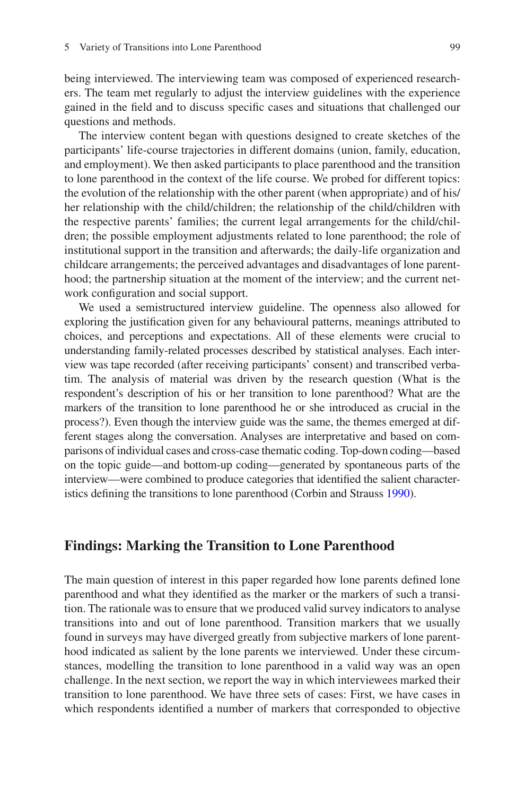being interviewed. The interviewing team was composed of experienced researchers. The team met regularly to adjust the interview guidelines with the experience gained in the field and to discuss specific cases and situations that challenged our questions and methods.

The interview content began with questions designed to create sketches of the participants' life-course trajectories in different domains (union, family, education, and employment). We then asked participants to place parenthood and the transition to lone parenthood in the context of the life course. We probed for different topics: the evolution of the relationship with the other parent (when appropriate) and of his/ her relationship with the child/children; the relationship of the child/children with the respective parents' families; the current legal arrangements for the child/children; the possible employment adjustments related to lone parenthood; the role of institutional support in the transition and afterwards; the daily-life organization and childcare arrangements; the perceived advantages and disadvantages of lone parenthood; the partnership situation at the moment of the interview; and the current network configuration and social support.

We used a semistructured interview guideline. The openness also allowed for exploring the justification given for any behavioural patterns, meanings attributed to choices, and perceptions and expectations. All of these elements were crucial to understanding family-related processes described by statistical analyses. Each interview was tape recorded (after receiving participants' consent) and transcribed verbatim. The analysis of material was driven by the research question (What is the respondent's description of his or her transition to lone parenthood? What are the markers of the transition to lone parenthood he or she introduced as crucial in the process?). Even though the interview guide was the same, the themes emerged at different stages along the conversation. Analyses are interpretative and based on comparisons of individual cases and cross-case thematic coding. Top-down coding—based on the topic guide—and bottom-up coding—generated by spontaneous parts of the interview—were combined to produce categories that identified the salient characteristics defining the transitions to lone parenthood (Corbin and Strauss [1990](#page-14-21)).

#### **Findings: Marking the Transition to Lone Parenthood**

The main question of interest in this paper regarded how lone parents defined lone parenthood and what they identified as the marker or the markers of such a transition. The rationale was to ensure that we produced valid survey indicators to analyse transitions into and out of lone parenthood. Transition markers that we usually found in surveys may have diverged greatly from subjective markers of lone parenthood indicated as salient by the lone parents we interviewed. Under these circumstances, modelling the transition to lone parenthood in a valid way was an open challenge. In the next section, we report the way in which interviewees marked their transition to lone parenthood. We have three sets of cases: First, we have cases in which respondents identified a number of markers that corresponded to objective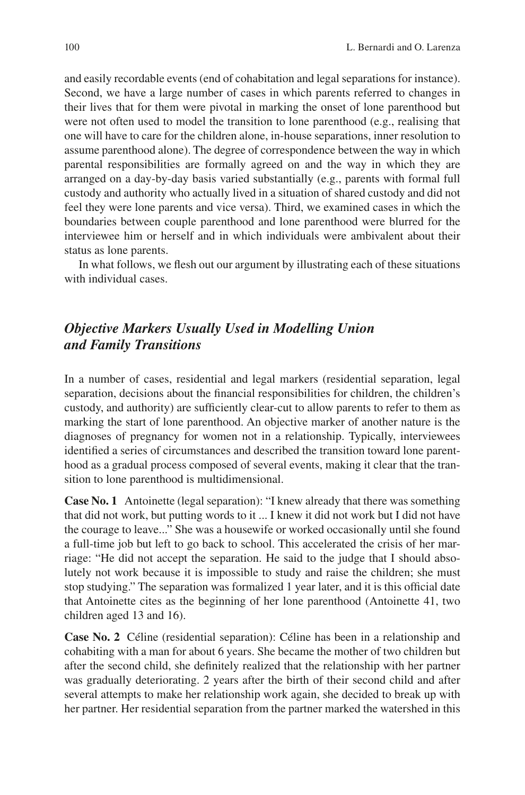and easily recordable events (end of cohabitation and legal separations for instance). Second, we have a large number of cases in which parents referred to changes in their lives that for them were pivotal in marking the onset of lone parenthood but were not often used to model the transition to lone parenthood (e.g., realising that one will have to care for the children alone, in-house separations, inner resolution to assume parenthood alone). The degree of correspondence between the way in which parental responsibilities are formally agreed on and the way in which they are arranged on a day-by-day basis varied substantially (e.g., parents with formal full custody and authority who actually lived in a situation of shared custody and did not feel they were lone parents and vice versa). Third, we examined cases in which the boundaries between couple parenthood and lone parenthood were blurred for the interviewee him or herself and in which individuals were ambivalent about their status as lone parents.

In what follows, we flesh out our argument by illustrating each of these situations with individual cases.

# *Objective Markers Usually Used in Modelling Union and Family Transitions*

In a number of cases, residential and legal markers (residential separation, legal separation, decisions about the financial responsibilities for children, the children's custody, and authority) are sufficiently clear-cut to allow parents to refer to them as marking the start of lone parenthood. An objective marker of another nature is the diagnoses of pregnancy for women not in a relationship. Typically, interviewees identified a series of circumstances and described the transition toward lone parenthood as a gradual process composed of several events, making it clear that the transition to lone parenthood is multidimensional.

**Case No. 1** Antoinette (legal separation): "I knew already that there was something that did not work, but putting words to it ... I knew it did not work but I did not have the courage to leave..." She was a housewife or worked occasionally until she found a full-time job but left to go back to school. This accelerated the crisis of her marriage: "He did not accept the separation. He said to the judge that I should absolutely not work because it is impossible to study and raise the children; she must stop studying." The separation was formalized 1 year later, and it is this official date that Antoinette cites as the beginning of her lone parenthood (Antoinette 41, two children aged 13 and 16).

**Case No. 2** Céline (residential separation): Céline has been in a relationship and cohabiting with a man for about 6 years. She became the mother of two children but after the second child, she definitely realized that the relationship with her partner was gradually deteriorating. 2 years after the birth of their second child and after several attempts to make her relationship work again, she decided to break up with her partner. Her residential separation from the partner marked the watershed in this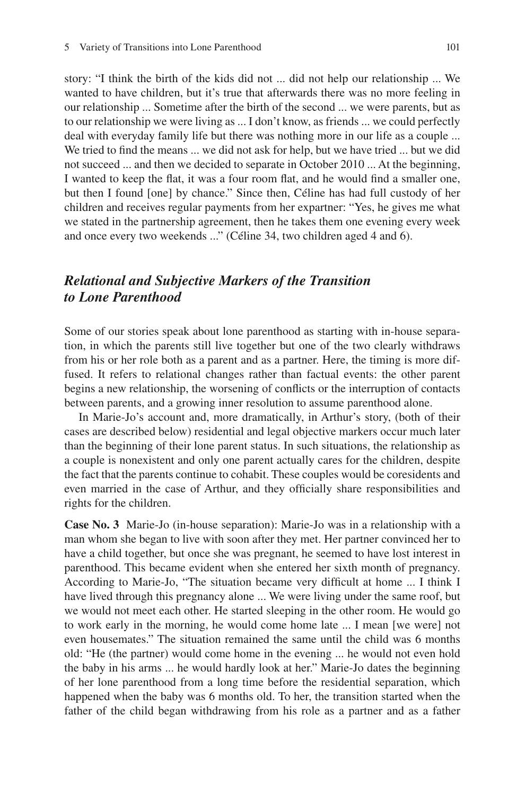story: "I think the birth of the kids did not ... did not help our relationship ... We wanted to have children, but it's true that afterwards there was no more feeling in our relationship ... Sometime after the birth of the second ... we were parents, but as to our relationship we were living as ... I don't know, as friends ... we could perfectly deal with everyday family life but there was nothing more in our life as a couple ... We tried to find the means ... we did not ask for help, but we have tried ... but we did not succeed ... and then we decided to separate in October 2010 ... At the beginning, I wanted to keep the flat, it was a four room flat, and he would find a smaller one, but then I found [one] by chance." Since then, Céline has had full custody of her children and receives regular payments from her expartner: "Yes, he gives me what we stated in the partnership agreement, then he takes them one evening every week and once every two weekends ..." (Céline 34, two children aged 4 and 6).

# *Relational and Subjective Markers of the Transition to Lone Parenthood*

Some of our stories speak about lone parenthood as starting with in-house separation, in which the parents still live together but one of the two clearly withdraws from his or her role both as a parent and as a partner. Here, the timing is more diffused. It refers to relational changes rather than factual events: the other parent begins a new relationship, the worsening of conflicts or the interruption of contacts between parents, and a growing inner resolution to assume parenthood alone.

In Marie-Jo's account and, more dramatically, in Arthur's story, (both of their cases are described below) residential and legal objective markers occur much later than the beginning of their lone parent status. In such situations, the relationship as a couple is nonexistent and only one parent actually cares for the children, despite the fact that the parents continue to cohabit. These couples would be coresidents and even married in the case of Arthur, and they officially share responsibilities and rights for the children.

**Case No. 3** Marie-Jo (in-house separation): Marie-Jo was in a relationship with a man whom she began to live with soon after they met. Her partner convinced her to have a child together, but once she was pregnant, he seemed to have lost interest in parenthood. This became evident when she entered her sixth month of pregnancy. According to Marie-Jo, "The situation became very difficult at home ... I think I have lived through this pregnancy alone ... We were living under the same roof, but we would not meet each other. He started sleeping in the other room. He would go to work early in the morning, he would come home late ... I mean [we were] not even housemates." The situation remained the same until the child was 6 months old: "He (the partner) would come home in the evening ... he would not even hold the baby in his arms ... he would hardly look at her." Marie-Jo dates the beginning of her lone parenthood from a long time before the residential separation, which happened when the baby was 6 months old. To her, the transition started when the father of the child began withdrawing from his role as a partner and as a father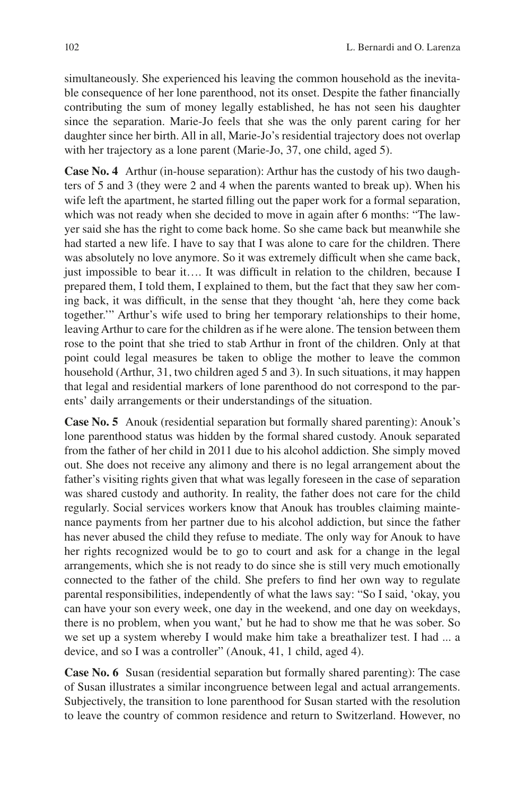simultaneously. She experienced his leaving the common household as the inevitable consequence of her lone parenthood, not its onset. Despite the father financially contributing the sum of money legally established, he has not seen his daughter since the separation. Marie-Jo feels that she was the only parent caring for her daughter since her birth. All in all, Marie-Jo's residential trajectory does not overlap with her trajectory as a lone parent (Marie-Jo, 37, one child, aged 5).

**Case No. 4** Arthur (in-house separation): Arthur has the custody of his two daughters of 5 and 3 (they were 2 and 4 when the parents wanted to break up). When his wife left the apartment, he started filling out the paper work for a formal separation, which was not ready when she decided to move in again after 6 months: "The lawyer said she has the right to come back home. So she came back but meanwhile she had started a new life. I have to say that I was alone to care for the children. There was absolutely no love anymore. So it was extremely difficult when she came back, just impossible to bear it…. It was difficult in relation to the children, because I prepared them, I told them, I explained to them, but the fact that they saw her coming back, it was difficult, in the sense that they thought 'ah, here they come back together.'" Arthur's wife used to bring her temporary relationships to their home, leaving Arthur to care for the children as if he were alone. The tension between them rose to the point that she tried to stab Arthur in front of the children. Only at that point could legal measures be taken to oblige the mother to leave the common household (Arthur, 31, two children aged 5 and 3). In such situations, it may happen that legal and residential markers of lone parenthood do not correspond to the parents' daily arrangements or their understandings of the situation.

**Case No. 5** Anouk (residential separation but formally shared parenting): Anouk's lone parenthood status was hidden by the formal shared custody. Anouk separated from the father of her child in 2011 due to his alcohol addiction. She simply moved out. She does not receive any alimony and there is no legal arrangement about the father's visiting rights given that what was legally foreseen in the case of separation was shared custody and authority. In reality, the father does not care for the child regularly. Social services workers know that Anouk has troubles claiming maintenance payments from her partner due to his alcohol addiction, but since the father has never abused the child they refuse to mediate. The only way for Anouk to have her rights recognized would be to go to court and ask for a change in the legal arrangements, which she is not ready to do since she is still very much emotionally connected to the father of the child. She prefers to find her own way to regulate parental responsibilities, independently of what the laws say: "So I said, 'okay, you can have your son every week, one day in the weekend, and one day on weekdays, there is no problem, when you want,' but he had to show me that he was sober. So we set up a system whereby I would make him take a breathalizer test. I had ... a device, and so I was a controller" (Anouk, 41, 1 child, aged 4).

**Case No. 6** Susan (residential separation but formally shared parenting): The case of Susan illustrates a similar incongruence between legal and actual arrangements. Subjectively, the transition to lone parenthood for Susan started with the resolution to leave the country of common residence and return to Switzerland. However, no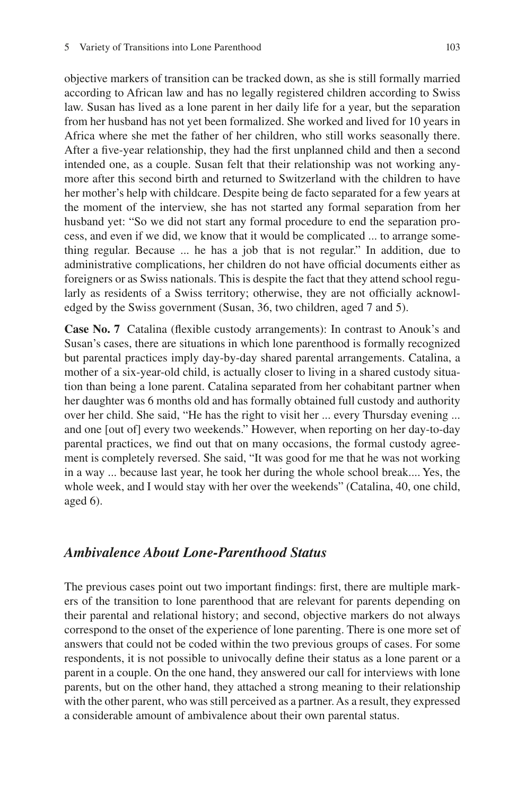objective markers of transition can be tracked down, as she is still formally married according to African law and has no legally registered children according to Swiss law. Susan has lived as a lone parent in her daily life for a year, but the separation from her husband has not yet been formalized. She worked and lived for 10 years in Africa where she met the father of her children, who still works seasonally there. After a five-year relationship, they had the first unplanned child and then a second intended one, as a couple. Susan felt that their relationship was not working anymore after this second birth and returned to Switzerland with the children to have her mother's help with childcare. Despite being de facto separated for a few years at the moment of the interview, she has not started any formal separation from her husband yet: "So we did not start any formal procedure to end the separation process, and even if we did, we know that it would be complicated ... to arrange something regular. Because ... he has a job that is not regular." In addition, due to administrative complications, her children do not have official documents either as foreigners or as Swiss nationals. This is despite the fact that they attend school regularly as residents of a Swiss territory; otherwise, they are not officially acknowledged by the Swiss government (Susan, 36, two children, aged 7 and 5).

**Case No. 7** Catalina (flexible custody arrangements): In contrast to Anouk's and Susan's cases, there are situations in which lone parenthood is formally recognized but parental practices imply day-by-day shared parental arrangements. Catalina, a mother of a six-year-old child, is actually closer to living in a shared custody situation than being a lone parent. Catalina separated from her cohabitant partner when her daughter was 6 months old and has formally obtained full custody and authority over her child. She said, "He has the right to visit her ... every Thursday evening ... and one [out of] every two weekends." However, when reporting on her day-to-day parental practices, we find out that on many occasions, the formal custody agreement is completely reversed. She said, "It was good for me that he was not working in a way ... because last year, he took her during the whole school break.... Yes, the whole week, and I would stay with her over the weekends" (Catalina, 40, one child, aged 6).

# *Ambivalence About Lone-Parenthood Status*

The previous cases point out two important findings: first, there are multiple markers of the transition to lone parenthood that are relevant for parents depending on their parental and relational history; and second, objective markers do not always correspond to the onset of the experience of lone parenting. There is one more set of answers that could not be coded within the two previous groups of cases. For some respondents, it is not possible to univocally define their status as a lone parent or a parent in a couple. On the one hand, they answered our call for interviews with lone parents, but on the other hand, they attached a strong meaning to their relationship with the other parent, who was still perceived as a partner. As a result, they expressed a considerable amount of ambivalence about their own parental status.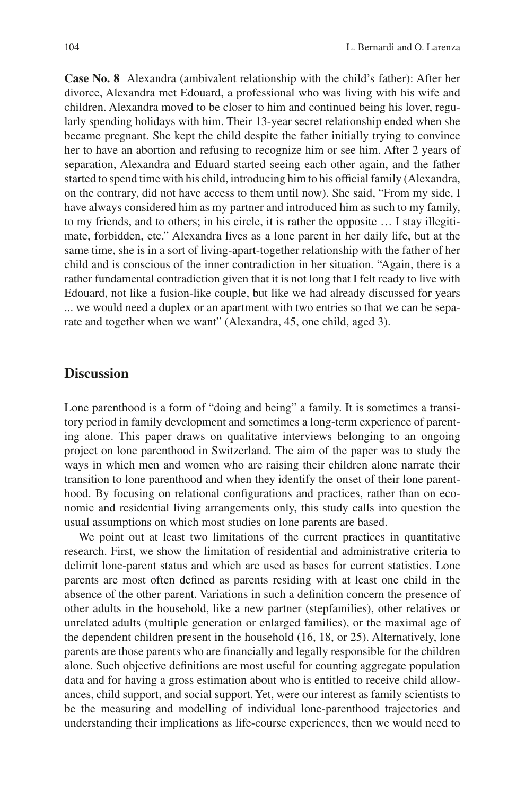**Case No. 8** Alexandra (ambivalent relationship with the child's father): After her divorce, Alexandra met Edouard, a professional who was living with his wife and children. Alexandra moved to be closer to him and continued being his lover, regularly spending holidays with him. Their 13-year secret relationship ended when she became pregnant. She kept the child despite the father initially trying to convince her to have an abortion and refusing to recognize him or see him. After 2 years of separation, Alexandra and Eduard started seeing each other again, and the father started to spend time with his child, introducing him to his official family (Alexandra, on the contrary, did not have access to them until now). She said, "From my side, I have always considered him as my partner and introduced him as such to my family, to my friends, and to others; in his circle, it is rather the opposite … I stay illegitimate, forbidden, etc." Alexandra lives as a lone parent in her daily life, but at the same time, she is in a sort of living-apart-together relationship with the father of her child and is conscious of the inner contradiction in her situation. "Again, there is a rather fundamental contradiction given that it is not long that I felt ready to live with Edouard, not like a fusion-like couple, but like we had already discussed for years ... we would need a duplex or an apartment with two entries so that we can be separate and together when we want" (Alexandra, 45, one child, aged 3).

#### **Discussion**

Lone parenthood is a form of "doing and being" a family. It is sometimes a transitory period in family development and sometimes a long-term experience of parenting alone. This paper draws on qualitative interviews belonging to an ongoing project on lone parenthood in Switzerland. The aim of the paper was to study the ways in which men and women who are raising their children alone narrate their transition to lone parenthood and when they identify the onset of their lone parenthood. By focusing on relational configurations and practices, rather than on economic and residential living arrangements only, this study calls into question the usual assumptions on which most studies on lone parents are based.

We point out at least two limitations of the current practices in quantitative research. First, we show the limitation of residential and administrative criteria to delimit lone-parent status and which are used as bases for current statistics. Lone parents are most often defined as parents residing with at least one child in the absence of the other parent. Variations in such a definition concern the presence of other adults in the household, like a new partner (stepfamilies), other relatives or unrelated adults (multiple generation or enlarged families), or the maximal age of the dependent children present in the household (16, 18, or 25). Alternatively, lone parents are those parents who are financially and legally responsible for the children alone. Such objective definitions are most useful for counting aggregate population data and for having a gross estimation about who is entitled to receive child allowances, child support, and social support. Yet, were our interest as family scientists to be the measuring and modelling of individual lone-parenthood trajectories and understanding their implications as life-course experiences, then we would need to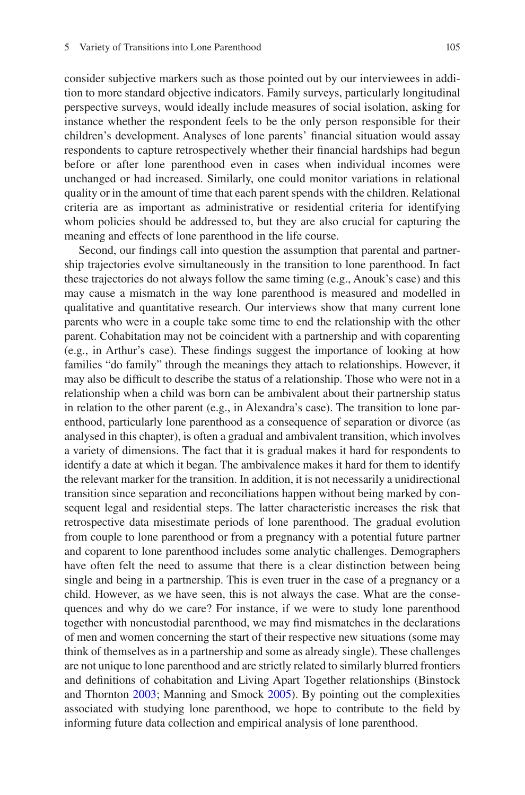consider subjective markers such as those pointed out by our interviewees in addition to more standard objective indicators. Family surveys, particularly longitudinal perspective surveys, would ideally include measures of social isolation, asking for instance whether the respondent feels to be the only person responsible for their children's development. Analyses of lone parents' financial situation would assay respondents to capture retrospectively whether their financial hardships had begun before or after lone parenthood even in cases when individual incomes were unchanged or had increased. Similarly, one could monitor variations in relational quality or in the amount of time that each parent spends with the children. Relational criteria are as important as administrative or residential criteria for identifying whom policies should be addressed to, but they are also crucial for capturing the meaning and effects of lone parenthood in the life course.

Second, our findings call into question the assumption that parental and partnership trajectories evolve simultaneously in the transition to lone parenthood. In fact these trajectories do not always follow the same timing (e.g., Anouk's case) and this may cause a mismatch in the way lone parenthood is measured and modelled in qualitative and quantitative research. Our interviews show that many current lone parents who were in a couple take some time to end the relationship with the other parent. Cohabitation may not be coincident with a partnership and with coparenting (e.g., in Arthur's case). These findings suggest the importance of looking at how families "do family" through the meanings they attach to relationships. However, it may also be difficult to describe the status of a relationship. Those who were not in a relationship when a child was born can be ambivalent about their partnership status in relation to the other parent (e.g., in Alexandra's case). The transition to lone parenthood, particularly lone parenthood as a consequence of separation or divorce (as analysed in this chapter), is often a gradual and ambivalent transition, which involves a variety of dimensions. The fact that it is gradual makes it hard for respondents to identify a date at which it began. The ambivalence makes it hard for them to identify the relevant marker for the transition. In addition, it is not necessarily a unidirectional transition since separation and reconciliations happen without being marked by consequent legal and residential steps. The latter characteristic increases the risk that retrospective data misestimate periods of lone parenthood. The gradual evolution from couple to lone parenthood or from a pregnancy with a potential future partner and coparent to lone parenthood includes some analytic challenges. Demographers have often felt the need to assume that there is a clear distinction between being single and being in a partnership. This is even truer in the case of a pregnancy or a child. However, as we have seen, this is not always the case. What are the consequences and why do we care? For instance, if we were to study lone parenthood together with noncustodial parenthood, we may find mismatches in the declarations of men and women concerning the start of their respective new situations (some may think of themselves as in a partnership and some as already single). These challenges are not unique to lone parenthood and are strictly related to similarly blurred frontiers and definitions of cohabitation and Living Apart Together relationships (Binstock and Thornton [2003](#page-14-22); Manning and Smock [2005](#page-14-23)). By pointing out the complexities associated with studying lone parenthood, we hope to contribute to the field by informing future data collection and empirical analysis of lone parenthood.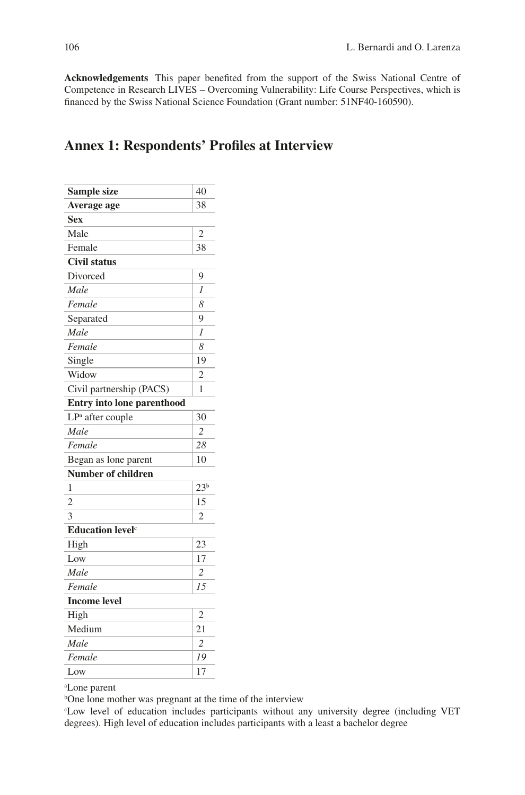**Acknowledgements** This paper benefited from the support of the Swiss National Centre of Competence in Research LIVES – Overcoming Vulnerability: Life Course Perspectives, which is financed by the Swiss National Science Foundation (Grant number: 51NF40-160590).

# **Annex 1: Respondents' Profiles at Interview**

| Sample size                  | 40              |
|------------------------------|-----------------|
| Average age                  | 38              |
| <b>Sex</b>                   |                 |
| Male                         | 2               |
| Female                       | 38              |
| <b>Civil status</b>          |                 |
| Divorced                     | 9               |
| Male                         | 1               |
| Female                       | 8               |
| Separated                    | 9               |
| Male                         | 1               |
| Female                       | 8               |
| Single                       | 19              |
| Widow                        | $\overline{c}$  |
| Civil partnership (PACS)     | 1               |
| Entry into lone parenthood   |                 |
| LP <sup>a</sup> after couple | 30              |
| Male                         | 2               |
| Female                       | 28              |
| Began as lone parent         | 10              |
| Number of children           |                 |
| 1                            | 23 <sup>b</sup> |
| $\overline{c}$               | 15              |
| 3                            | $\overline{c}$  |
| Education level <sup>c</sup> |                 |
| High                         | 23              |
| Low                          | 17              |
| Male                         | $\overline{c}$  |
| Female                       | 15              |
| <b>Income level</b>          |                 |
| High                         | 2               |
| Medium                       | 21              |
| Male                         | $\overline{2}$  |
| Female                       | 19              |
| Low                          | 17              |

a Lone parent

<sup>b</sup>One lone mother was pregnant at the time of the interview

c Low level of education includes participants without any university degree (including VET degrees). High level of education includes participants with a least a bachelor degree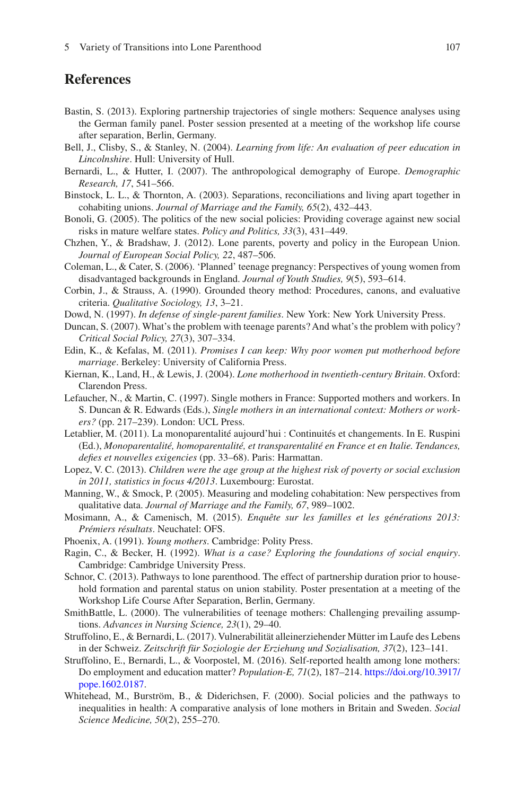### **References**

- <span id="page-14-18"></span>Bastin, S. (2013). Exploring partnership trajectories of single mothers: Sequence analyses using the German family panel. Poster session presented at a meeting of the workshop life course after separation, Berlin, Germany.
- <span id="page-14-4"></span>Bell, J., Clisby, S., & Stanley, N. (2004). *Learning from life: An evaluation of peer education in Lincolnshire*. Hull: University of Hull.
- <span id="page-14-14"></span>Bernardi, L., & Hutter, I. (2007). The anthropological demography of Europe. *Demographic Research, 17*, 541–566.
- <span id="page-14-22"></span>Binstock, L. L., & Thornton, A. (2003). Separations, reconciliations and living apart together in cohabiting unions. *Journal of Marriage and the Family, 65*(2), 432–443.
- <span id="page-14-1"></span>Bonoli, G. (2005). The politics of the new social policies: Providing coverage against new social risks in mature welfare states. *Policy and Politics, 33*(3), 431–449.
- <span id="page-14-0"></span>Chzhen, Y., & Bradshaw, J. (2012). Lone parents, poverty and policy in the European Union. *Journal of European Social Policy, 22*, 487–506.
- <span id="page-14-5"></span>Coleman, L., & Cater, S. (2006). 'Planned' teenage pregnancy: Perspectives of young women from disadvantaged backgrounds in England. *Journal of Youth Studies, 9*(5), 593–614.
- <span id="page-14-21"></span>Corbin, J., & Strauss, A. (1990). Grounded theory method: Procedures, canons, and evaluative criteria. *Qualitative Sociology, 13*, 3–21.
- <span id="page-14-10"></span>Dowd, N. (1997). *In defense of single-parent families*. New York: New York University Press.
- <span id="page-14-6"></span>Duncan, S. (2007). What's the problem with teenage parents? And what's the problem with policy? *Critical Social Policy, 27*(3), 307–334.
- <span id="page-14-7"></span>Edin, K., & Kefalas, M. (2011). *Promises I can keep: Why poor women put motherhood before marriage*. Berkeley: University of California Press.
- <span id="page-14-13"></span>Kiernan, K., Land, H., & Lewis, J. (2004). *Lone motherhood in twentieth-century Britain*. Oxford: Clarendon Press.
- <span id="page-14-12"></span>Lefaucher, N., & Martin, C. (1997). Single mothers in France: Supported mothers and workers. In S. Duncan & R. Edwards (Eds.), *Single mothers in an international context: Mothers or workers?* (pp. 217–239). London: UCL Press.
- <span id="page-14-16"></span>Letablier, M. (2011). La monoparentalité aujourd'hui : Continuités et changements. In E. Ruspini (Ed.), *Monoparentalité, homoparentalité, et transparentalité en France et en Italie. Tendances, defies et nouvelles exigencies* (pp. 33–68). Paris: Harmattan.
- <span id="page-14-3"></span>Lopez, V. C. (2013). *Children were the age group at the highest risk of poverty or social exclusion in 2011, statistics in focus 4/2013*. Luxembourg: Eurostat.
- <span id="page-14-23"></span>Manning, W., & Smock, P. (2005). Measuring and modeling cohabitation: New perspectives from qualitative data. *Journal of Marriage and the Family, 67*, 989–1002.
- <span id="page-14-17"></span>Mosimann, A., & Camenisch, M. (2015). *Enquête sur les familles et les générations 2013: Prémiers résultats*. Neuchatel: OFS.
- <span id="page-14-8"></span>Phoenix, A. (1991). *Young mothers*. Cambridge: Polity Press.
- <span id="page-14-15"></span>Ragin, C., & Becker, H. (1992). *What is a case? Exploring the foundations of social enquiry*. Cambridge: Cambridge University Press.
- <span id="page-14-19"></span>Schnor, C. (2013). Pathways to lone parenthood. The effect of partnership duration prior to household formation and parental status on union stability. Poster presentation at a meeting of the Workshop Life Course After Separation, Berlin, Germany.
- <span id="page-14-9"></span>SmithBattle, L. (2000). The vulnerabilities of teenage mothers: Challenging prevailing assumptions. *Advances in Nursing Science, 23*(1), 29–40.
- <span id="page-14-20"></span>Struffolino, E., & Bernardi, L. (2017). Vulnerabilität alleinerziehender Mütter im Laufe des Lebens in der Schweiz. *Zeitschrift für Soziologie der Erziehung und Sozialisation, 37*(2), 123–141.
- <span id="page-14-11"></span>Struffolino, E., Bernardi, L., & Voorpostel, M. (2016). Self-reported health among lone mothers: Do employment and education matter? *Population-E, 71*(2), 187–214. [https://doi.org/10.3917/](https://doi.org/10.3917/pope.1602.0187) [pope.1602.0187.](https://doi.org/10.3917/pope.1602.0187)
- <span id="page-14-2"></span>Whitehead, M., Burström, B., & Diderichsen, F. (2000). Social policies and the pathways to inequalities in health: A comparative analysis of lone mothers in Britain and Sweden. *Social Science Medicine, 50*(2), 255–270.